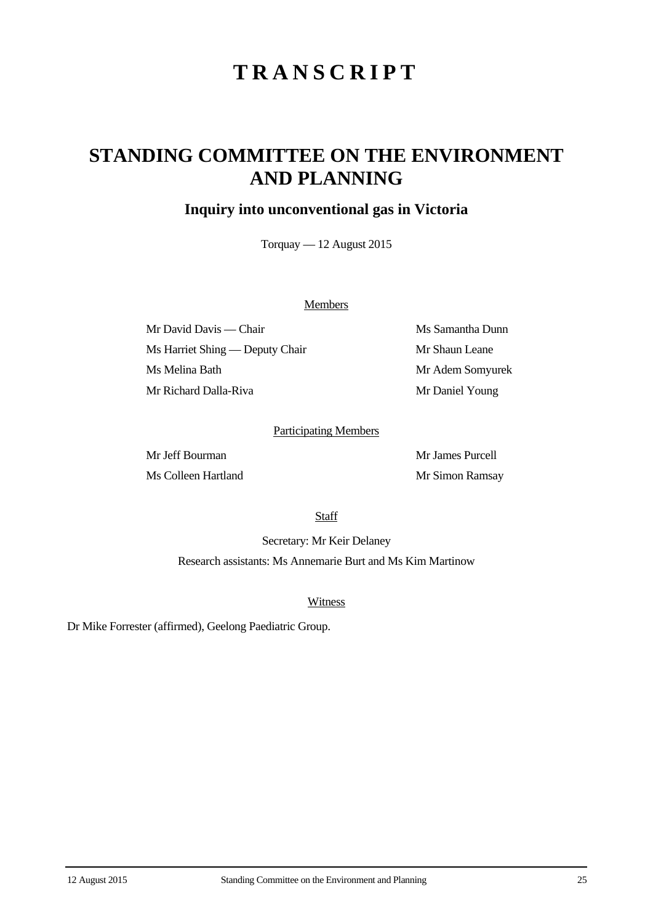# **TRANSCRIPT**

## **STANDING COMMITTEE ON THE ENVIRONMENT AND PLANNING**

### **Inquiry into unconventional gas in Victoria**

Torquay — 12 August 2015

#### **Members**

Mr David Davis — Chair Ms Samantha Dunn Ms Harriet Shing — Deputy Chair Mr Shaun Leane Ms Melina Bath Mr Adem Somyurek Mr Richard Dalla-Riva Mr Daniel Young

#### Participating Members

Mr Jeff Bourman Mr James Purcell Ms Colleen Hartland Mr Simon Ramsay

**Staff** 

Secretary: Mr Keir Delaney Research assistants: Ms Annemarie Burt and Ms Kim Martinow

Witness

Dr Mike Forrester (affirmed), Geelong Paediatric Group.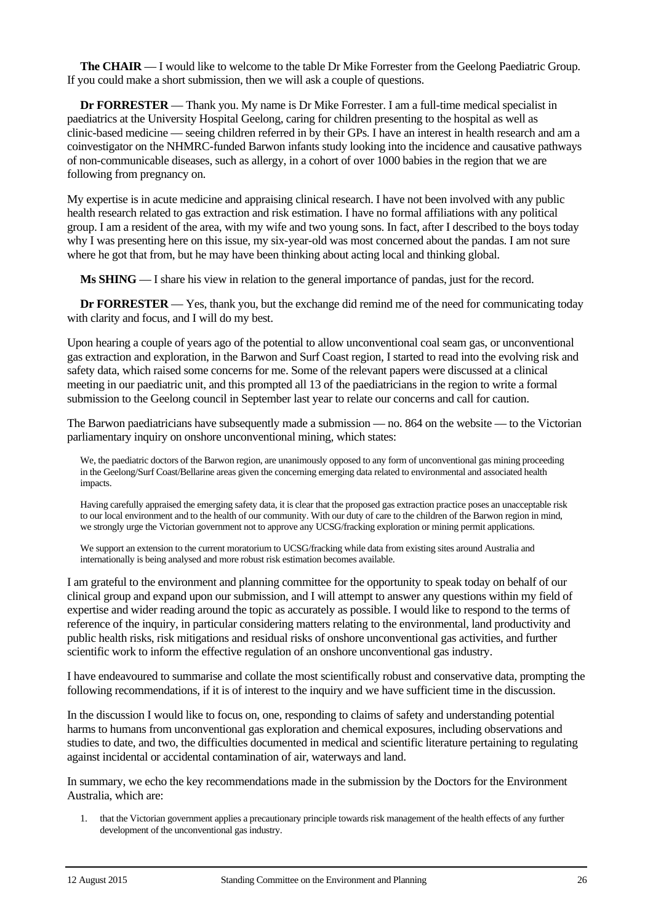**The CHAIR** — I would like to welcome to the table Dr Mike Forrester from the Geelong Paediatric Group. If you could make a short submission, then we will ask a couple of questions.

**Dr FORRESTER** — Thank you. My name is Dr Mike Forrester. I am a full-time medical specialist in paediatrics at the University Hospital Geelong, caring for children presenting to the hospital as well as clinic-based medicine — seeing children referred in by their GPs. I have an interest in health research and am a coinvestigator on the NHMRC-funded Barwon infants study looking into the incidence and causative pathways of non-communicable diseases, such as allergy, in a cohort of over 1000 babies in the region that we are following from pregnancy on.

My expertise is in acute medicine and appraising clinical research. I have not been involved with any public health research related to gas extraction and risk estimation. I have no formal affiliations with any political group. I am a resident of the area, with my wife and two young sons. In fact, after I described to the boys today why I was presenting here on this issue, my six-year-old was most concerned about the pandas. I am not sure where he got that from, but he may have been thinking about acting local and thinking global.

**Ms SHING** — I share his view in relation to the general importance of pandas, just for the record.

**Dr FORRESTER** — Yes, thank you, but the exchange did remind me of the need for communicating today with clarity and focus, and I will do my best.

Upon hearing a couple of years ago of the potential to allow unconventional coal seam gas, or unconventional gas extraction and exploration, in the Barwon and Surf Coast region, I started to read into the evolving risk and safety data, which raised some concerns for me. Some of the relevant papers were discussed at a clinical meeting in our paediatric unit, and this prompted all 13 of the paediatricians in the region to write a formal submission to the Geelong council in September last year to relate our concerns and call for caution.

The Barwon paediatricians have subsequently made a submission — no. 864 on the website — to the Victorian parliamentary inquiry on onshore unconventional mining, which states:

We, the paediatric doctors of the Barwon region, are unanimously opposed to any form of unconventional gas mining proceeding in the Geelong/Surf Coast/Bellarine areas given the concerning emerging data related to environmental and associated health impacts.

Having carefully appraised the emerging safety data, it is clear that the proposed gas extraction practice poses an unacceptable risk to our local environment and to the health of our community. With our duty of care to the children of the Barwon region in mind, we strongly urge the Victorian government not to approve any UCSG/fracking exploration or mining permit applications.

We support an extension to the current moratorium to UCSG/fracking while data from existing sites around Australia and internationally is being analysed and more robust risk estimation becomes available.

I am grateful to the environment and planning committee for the opportunity to speak today on behalf of our clinical group and expand upon our submission, and I will attempt to answer any questions within my field of expertise and wider reading around the topic as accurately as possible. I would like to respond to the terms of reference of the inquiry, in particular considering matters relating to the environmental, land productivity and public health risks, risk mitigations and residual risks of onshore unconventional gas activities, and further scientific work to inform the effective regulation of an onshore unconventional gas industry.

I have endeavoured to summarise and collate the most scientifically robust and conservative data, prompting the following recommendations, if it is of interest to the inquiry and we have sufficient time in the discussion.

In the discussion I would like to focus on, one, responding to claims of safety and understanding potential harms to humans from unconventional gas exploration and chemical exposures, including observations and studies to date, and two, the difficulties documented in medical and scientific literature pertaining to regulating against incidental or accidental contamination of air, waterways and land.

In summary, we echo the key recommendations made in the submission by the Doctors for the Environment Australia, which are:

1. that the Victorian government applies a precautionary principle towards risk management of the health effects of any further development of the unconventional gas industry.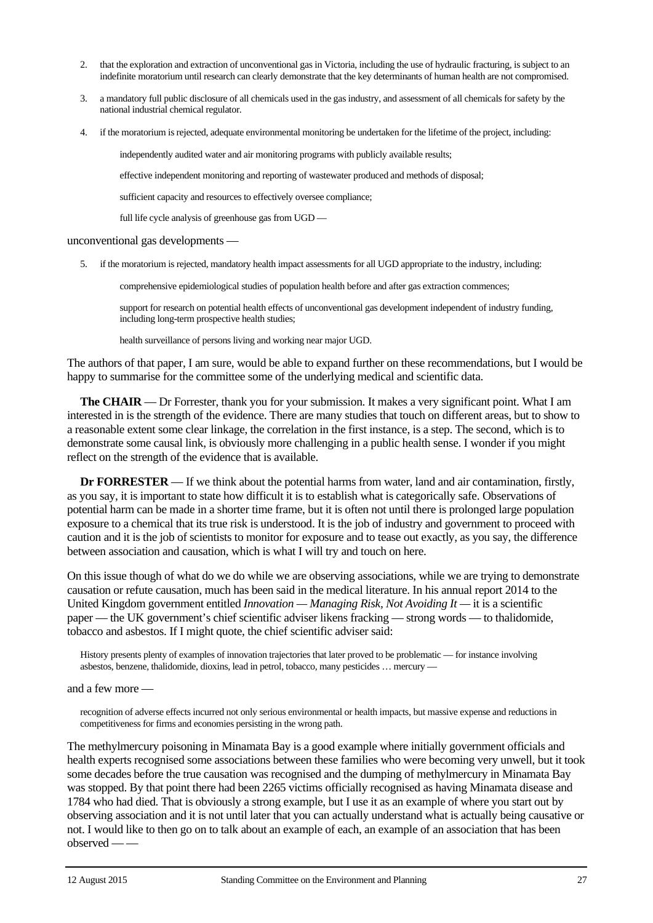- 2. that the exploration and extraction of unconventional gas in Victoria, including the use of hydraulic fracturing, is subject to an indefinite moratorium until research can clearly demonstrate that the key determinants of human health are not compromised.
- 3. a mandatory full public disclosure of all chemicals used in the gas industry, and assessment of all chemicals for safety by the national industrial chemical regulator.
- 4. if the moratorium is rejected, adequate environmental monitoring be undertaken for the lifetime of the project, including:

independently audited water and air monitoring programs with publicly available results;

effective independent monitoring and reporting of wastewater produced and methods of disposal;

sufficient capacity and resources to effectively oversee compliance;

full life cycle analysis of greenhouse gas from UGD —

#### unconventional gas developments —

5. if the moratorium is rejected, mandatory health impact assessments for all UGD appropriate to the industry, including:

comprehensive epidemiological studies of population health before and after gas extraction commences;

support for research on potential health effects of unconventional gas development independent of industry funding, including long-term prospective health studies;

health surveillance of persons living and working near major UGD.

The authors of that paper, I am sure, would be able to expand further on these recommendations, but I would be happy to summarise for the committee some of the underlying medical and scientific data.

**The CHAIR** — Dr Forrester, thank you for your submission. It makes a very significant point. What I am interested in is the strength of the evidence. There are many studies that touch on different areas, but to show to a reasonable extent some clear linkage, the correlation in the first instance, is a step. The second, which is to demonstrate some causal link, is obviously more challenging in a public health sense. I wonder if you might reflect on the strength of the evidence that is available.

**Dr FORRESTER** — If we think about the potential harms from water, land and air contamination, firstly, as you say, it is important to state how difficult it is to establish what is categorically safe. Observations of potential harm can be made in a shorter time frame, but it is often not until there is prolonged large population exposure to a chemical that its true risk is understood. It is the job of industry and government to proceed with caution and it is the job of scientists to monitor for exposure and to tease out exactly, as you say, the difference between association and causation, which is what I will try and touch on here.

On this issue though of what do we do while we are observing associations, while we are trying to demonstrate causation or refute causation, much has been said in the medical literature. In his annual report 2014 to the United Kingdom government entitled *Innovation — Managing Risk, Not Avoiding It —* it is a scientific paper — the UK government's chief scientific adviser likens fracking — strong words — to thalidomide, tobacco and asbestos. If I might quote, the chief scientific adviser said:

History presents plenty of examples of innovation trajectories that later proved to be problematic — for instance involving asbestos, benzene, thalidomide, dioxins, lead in petrol, tobacco, many pesticides … mercury —

#### and a few more —

recognition of adverse effects incurred not only serious environmental or health impacts, but massive expense and reductions in competitiveness for firms and economies persisting in the wrong path.

The methylmercury poisoning in Minamata Bay is a good example where initially government officials and health experts recognised some associations between these families who were becoming very unwell, but it took some decades before the true causation was recognised and the dumping of methylmercury in Minamata Bay was stopped. By that point there had been 2265 victims officially recognised as having Minamata disease and 1784 who had died. That is obviously a strong example, but I use it as an example of where you start out by observing association and it is not until later that you can actually understand what is actually being causative or not. I would like to then go on to talk about an example of each, an example of an association that has been observed — —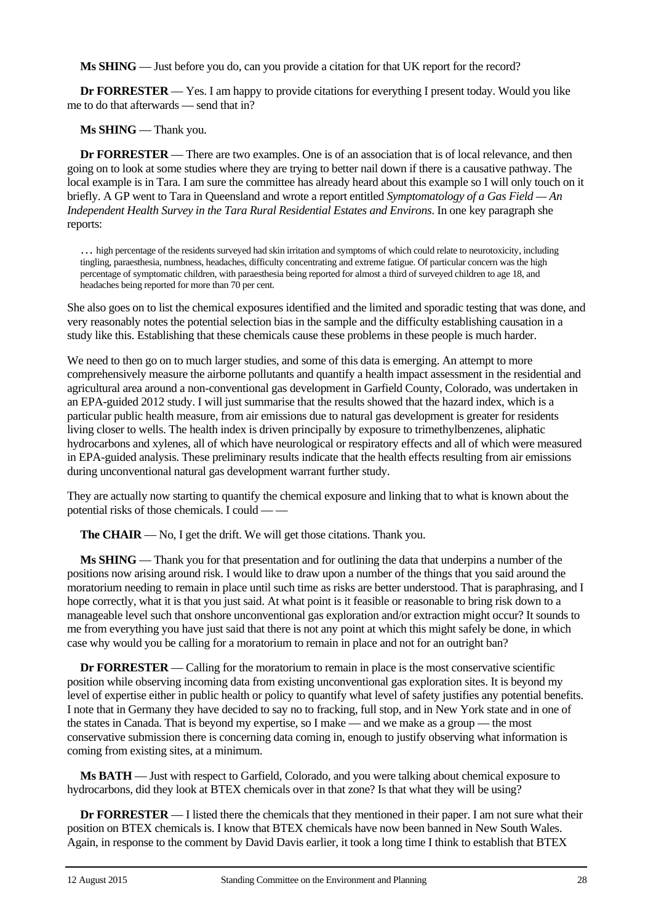**Ms SHING** — Just before you do, can you provide a citation for that UK report for the record?

**Dr FORRESTER** — Yes. I am happy to provide citations for everything I present today. Would you like me to do that afterwards — send that in?

**Ms SHING** — Thank you.

**Dr FORRESTER** — There are two examples. One is of an association that is of local relevance, and then going on to look at some studies where they are trying to better nail down if there is a causative pathway. The local example is in Tara. I am sure the committee has already heard about this example so I will only touch on it briefly. A GP went to Tara in Queensland and wrote a report entitled *Symptomatology of a Gas Field — An Independent Health Survey in the Tara Rural Residential Estates and Environs*. In one key paragraph she reports:

… high percentage of the residents surveyed had skin irritation and symptoms of which could relate to neurotoxicity, including tingling, paraesthesia, numbness, headaches, difficulty concentrating and extreme fatigue. Of particular concern was the high percentage of symptomatic children, with paraesthesia being reported for almost a third of surveyed children to age 18, and headaches being reported for more than 70 per cent.

She also goes on to list the chemical exposures identified and the limited and sporadic testing that was done, and very reasonably notes the potential selection bias in the sample and the difficulty establishing causation in a study like this. Establishing that these chemicals cause these problems in these people is much harder.

We need to then go on to much larger studies, and some of this data is emerging. An attempt to more comprehensively measure the airborne pollutants and quantify a health impact assessment in the residential and agricultural area around a non-conventional gas development in Garfield County, Colorado, was undertaken in an EPA-guided 2012 study. I will just summarise that the results showed that the hazard index, which is a particular public health measure, from air emissions due to natural gas development is greater for residents living closer to wells. The health index is driven principally by exposure to trimethylbenzenes, aliphatic hydrocarbons and xylenes, all of which have neurological or respiratory effects and all of which were measured in EPA-guided analysis. These preliminary results indicate that the health effects resulting from air emissions during unconventional natural gas development warrant further study.

They are actually now starting to quantify the chemical exposure and linking that to what is known about the potential risks of those chemicals. I could — —

**The CHAIR** — No, I get the drift. We will get those citations. Thank you.

**Ms SHING** — Thank you for that presentation and for outlining the data that underpins a number of the positions now arising around risk. I would like to draw upon a number of the things that you said around the moratorium needing to remain in place until such time as risks are better understood. That is paraphrasing, and I hope correctly, what it is that you just said. At what point is it feasible or reasonable to bring risk down to a manageable level such that onshore unconventional gas exploration and/or extraction might occur? It sounds to me from everything you have just said that there is not any point at which this might safely be done, in which case why would you be calling for a moratorium to remain in place and not for an outright ban?

**Dr FORRESTER** — Calling for the moratorium to remain in place is the most conservative scientific position while observing incoming data from existing unconventional gas exploration sites. It is beyond my level of expertise either in public health or policy to quantify what level of safety justifies any potential benefits. I note that in Germany they have decided to say no to fracking, full stop, and in New York state and in one of the states in Canada. That is beyond my expertise, so I make — and we make as a group — the most conservative submission there is concerning data coming in, enough to justify observing what information is coming from existing sites, at a minimum.

**Ms BATH** — Just with respect to Garfield, Colorado, and you were talking about chemical exposure to hydrocarbons, did they look at BTEX chemicals over in that zone? Is that what they will be using?

**Dr FORRESTER** — I listed there the chemicals that they mentioned in their paper. I am not sure what their position on BTEX chemicals is. I know that BTEX chemicals have now been banned in New South Wales. Again, in response to the comment by David Davis earlier, it took a long time I think to establish that BTEX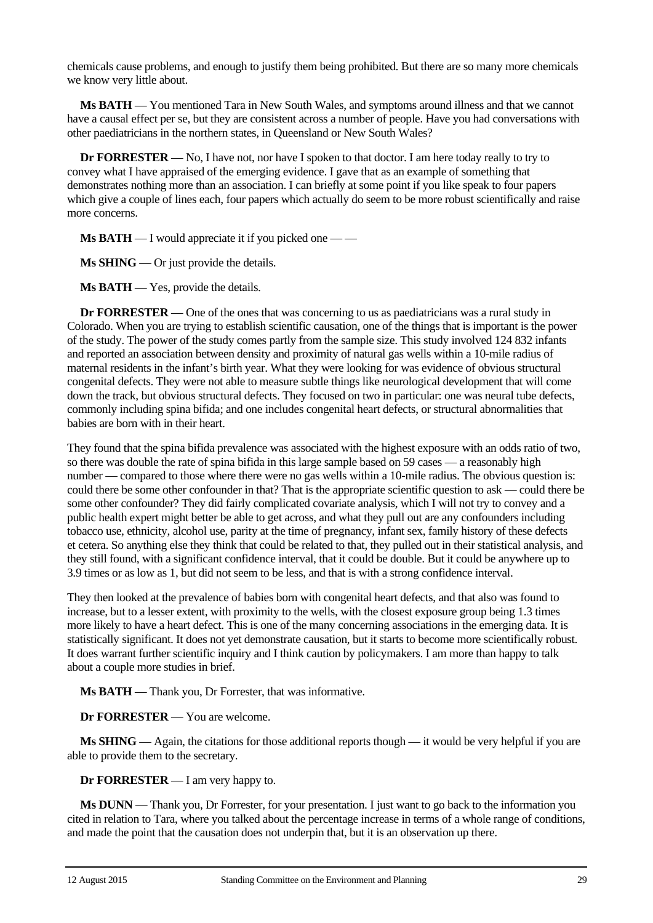chemicals cause problems, and enough to justify them being prohibited. But there are so many more chemicals we know very little about.

**Ms BATH** — You mentioned Tara in New South Wales, and symptoms around illness and that we cannot have a causal effect per se, but they are consistent across a number of people. Have you had conversations with other paediatricians in the northern states, in Queensland or New South Wales?

**Dr FORRESTER** — No, I have not, nor have I spoken to that doctor. I am here today really to try to convey what I have appraised of the emerging evidence. I gave that as an example of something that demonstrates nothing more than an association. I can briefly at some point if you like speak to four papers which give a couple of lines each, four papers which actually do seem to be more robust scientifically and raise more concerns.

**Ms BATH** — I would appreciate it if you picked one — —

**Ms SHING** — Or just provide the details.

**Ms BATH** — Yes, provide the details.

**Dr FORRESTER** — One of the ones that was concerning to us as paediatricians was a rural study in Colorado. When you are trying to establish scientific causation, one of the things that is important is the power of the study. The power of the study comes partly from the sample size. This study involved 124 832 infants and reported an association between density and proximity of natural gas wells within a 10-mile radius of maternal residents in the infant's birth year. What they were looking for was evidence of obvious structural congenital defects. They were not able to measure subtle things like neurological development that will come down the track, but obvious structural defects. They focused on two in particular: one was neural tube defects, commonly including spina bifida; and one includes congenital heart defects, or structural abnormalities that babies are born with in their heart.

They found that the spina bifida prevalence was associated with the highest exposure with an odds ratio of two, so there was double the rate of spina bifida in this large sample based on 59 cases — a reasonably high number — compared to those where there were no gas wells within a 10-mile radius. The obvious question is: could there be some other confounder in that? That is the appropriate scientific question to ask — could there be some other confounder? They did fairly complicated covariate analysis, which I will not try to convey and a public health expert might better be able to get across, and what they pull out are any confounders including tobacco use, ethnicity, alcohol use, parity at the time of pregnancy, infant sex, family history of these defects et cetera. So anything else they think that could be related to that, they pulled out in their statistical analysis, and they still found, with a significant confidence interval, that it could be double. But it could be anywhere up to 3.9 times or as low as 1, but did not seem to be less, and that is with a strong confidence interval.

They then looked at the prevalence of babies born with congenital heart defects, and that also was found to increase, but to a lesser extent, with proximity to the wells, with the closest exposure group being 1.3 times more likely to have a heart defect. This is one of the many concerning associations in the emerging data. It is statistically significant. It does not yet demonstrate causation, but it starts to become more scientifically robust. It does warrant further scientific inquiry and I think caution by policymakers. I am more than happy to talk about a couple more studies in brief.

**Ms BATH** — Thank you, Dr Forrester, that was informative.

**Dr FORRESTER** — You are welcome.

**Ms SHING** — Again, the citations for those additional reports though — it would be very helpful if you are able to provide them to the secretary.

**Dr FORRESTER** — I am very happy to.

**Ms DUNN** — Thank you, Dr Forrester, for your presentation. I just want to go back to the information you cited in relation to Tara, where you talked about the percentage increase in terms of a whole range of conditions, and made the point that the causation does not underpin that, but it is an observation up there.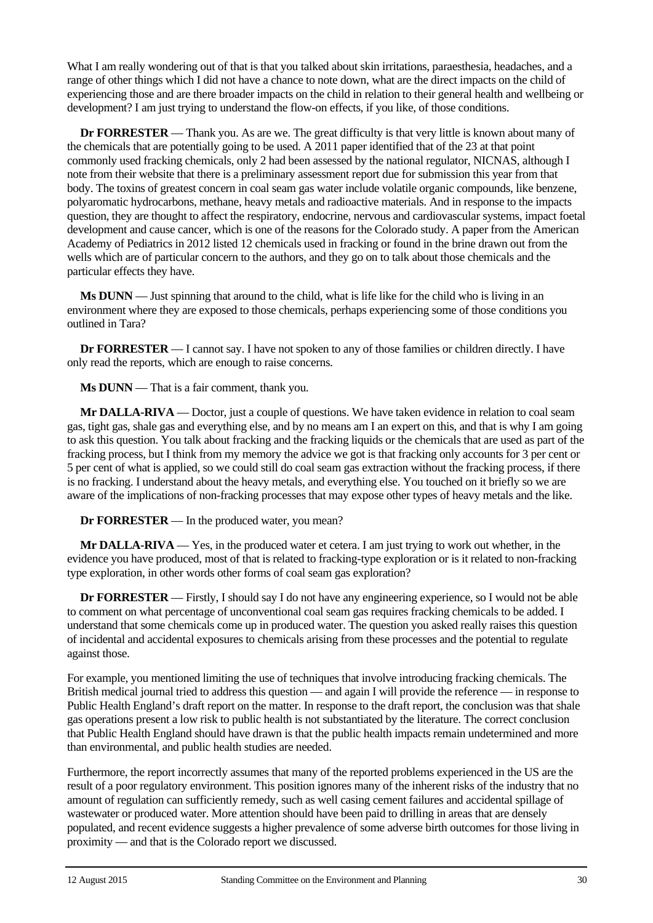What I am really wondering out of that is that you talked about skin irritations, paraesthesia, headaches, and a range of other things which I did not have a chance to note down, what are the direct impacts on the child of experiencing those and are there broader impacts on the child in relation to their general health and wellbeing or development? I am just trying to understand the flow-on effects, if you like, of those conditions.

**Dr FORRESTER** — Thank you. As are we. The great difficulty is that very little is known about many of the chemicals that are potentially going to be used. A 2011 paper identified that of the 23 at that point commonly used fracking chemicals, only 2 had been assessed by the national regulator, NICNAS, although I note from their website that there is a preliminary assessment report due for submission this year from that body. The toxins of greatest concern in coal seam gas water include volatile organic compounds, like benzene, polyaromatic hydrocarbons, methane, heavy metals and radioactive materials. And in response to the impacts question, they are thought to affect the respiratory, endocrine, nervous and cardiovascular systems, impact foetal development and cause cancer, which is one of the reasons for the Colorado study. A paper from the American Academy of Pediatrics in 2012 listed 12 chemicals used in fracking or found in the brine drawn out from the wells which are of particular concern to the authors, and they go on to talk about those chemicals and the particular effects they have.

**Ms DUNN** — Just spinning that around to the child, what is life like for the child who is living in an environment where they are exposed to those chemicals, perhaps experiencing some of those conditions you outlined in Tara?

**Dr FORRESTER** — I cannot say. I have not spoken to any of those families or children directly. I have only read the reports, which are enough to raise concerns.

**Ms DUNN** — That is a fair comment, thank you.

**Mr DALLA-RIVA** — Doctor, just a couple of questions. We have taken evidence in relation to coal seam gas, tight gas, shale gas and everything else, and by no means am I an expert on this, and that is why I am going to ask this question. You talk about fracking and the fracking liquids or the chemicals that are used as part of the fracking process, but I think from my memory the advice we got is that fracking only accounts for 3 per cent or 5 per cent of what is applied, so we could still do coal seam gas extraction without the fracking process, if there is no fracking. I understand about the heavy metals, and everything else. You touched on it briefly so we are aware of the implications of non-fracking processes that may expose other types of heavy metals and the like.

**Dr FORRESTER** — In the produced water, you mean?

**Mr DALLA-RIVA** — Yes, in the produced water et cetera. I am just trying to work out whether, in the evidence you have produced, most of that is related to fracking-type exploration or is it related to non-fracking type exploration, in other words other forms of coal seam gas exploration?

**Dr FORRESTER** — Firstly, I should say I do not have any engineering experience, so I would not be able to comment on what percentage of unconventional coal seam gas requires fracking chemicals to be added. I understand that some chemicals come up in produced water. The question you asked really raises this question of incidental and accidental exposures to chemicals arising from these processes and the potential to regulate against those.

For example, you mentioned limiting the use of techniques that involve introducing fracking chemicals. The British medical journal tried to address this question — and again I will provide the reference — in response to Public Health England's draft report on the matter. In response to the draft report, the conclusion was that shale gas operations present a low risk to public health is not substantiated by the literature. The correct conclusion that Public Health England should have drawn is that the public health impacts remain undetermined and more than environmental, and public health studies are needed.

Furthermore, the report incorrectly assumes that many of the reported problems experienced in the US are the result of a poor regulatory environment. This position ignores many of the inherent risks of the industry that no amount of regulation can sufficiently remedy, such as well casing cement failures and accidental spillage of wastewater or produced water. More attention should have been paid to drilling in areas that are densely populated, and recent evidence suggests a higher prevalence of some adverse birth outcomes for those living in proximity — and that is the Colorado report we discussed.